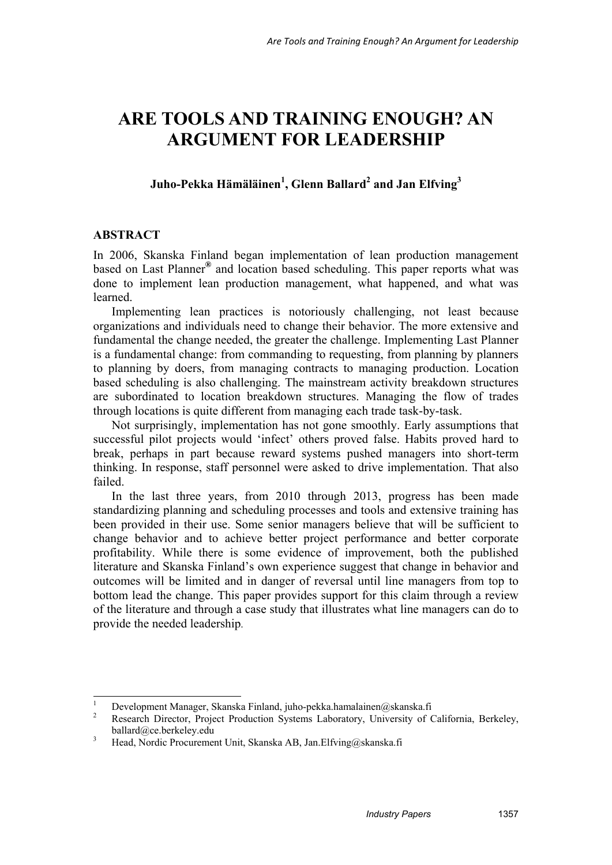# **ARE TOOLS AND TRAINING ENOUGH? AN ARGUMENT FOR LEADERSHIP**

# $\mathbf{Juho-Pekka Hämäläinen}^{1},\mathbf{Glenn Ballard}^{2}$  and  $\mathbf{Jan Elfving}^{3}$

#### **ABSTRACT**

In 2006, Skanska Finland began implementation of lean production management based on Last Planner**®** and location based scheduling. This paper reports what was done to implement lean production management, what happened, and what was learned.

Implementing lean practices is notoriously challenging, not least because organizations and individuals need to change their behavior. The more extensive and fundamental the change needed, the greater the challenge. Implementing Last Planner is a fundamental change: from commanding to requesting, from planning by planners to planning by doers, from managing contracts to managing production. Location based scheduling is also challenging. The mainstream activity breakdown structures are subordinated to location breakdown structures. Managing the flow of trades through locations is quite different from managing each trade task-by-task.

Not surprisingly, implementation has not gone smoothly. Early assumptions that successful pilot projects would 'infect' others proved false. Habits proved hard to break, perhaps in part because reward systems pushed managers into short-term thinking. In response, staff personnel were asked to drive implementation. That also failed.

In the last three years, from 2010 through 2013, progress has been made standardizing planning and scheduling processes and tools and extensive training has been provided in their use. Some senior managers believe that will be sufficient to change behavior and to achieve better project performance and better corporate profitability. While there is some evidence of improvement, both the published literature and Skanska Finland's own experience suggest that change in behavior and outcomes will be limited and in danger of reversal until line managers from top to bottom lead the change. This paper provides support for this claim through a review of the literature and through a case study that illustrates what line managers can do to provide the needed leadership.

 $\frac{1}{1}$ 1 Development Manager, Skanska Finland, juho-pekka.hamalainen@skanska.fi<br>2 Desember Director, Dreiset Broduction, Systems, Laboratory, University of G

Research Director, Project Production Systems Laboratory, University of California, Berkeley, ballard@ce.berkeley.edu

<sup>3</sup> Head, Nordic Procurement Unit, Skanska AB, Jan.Elfving@skanska.fi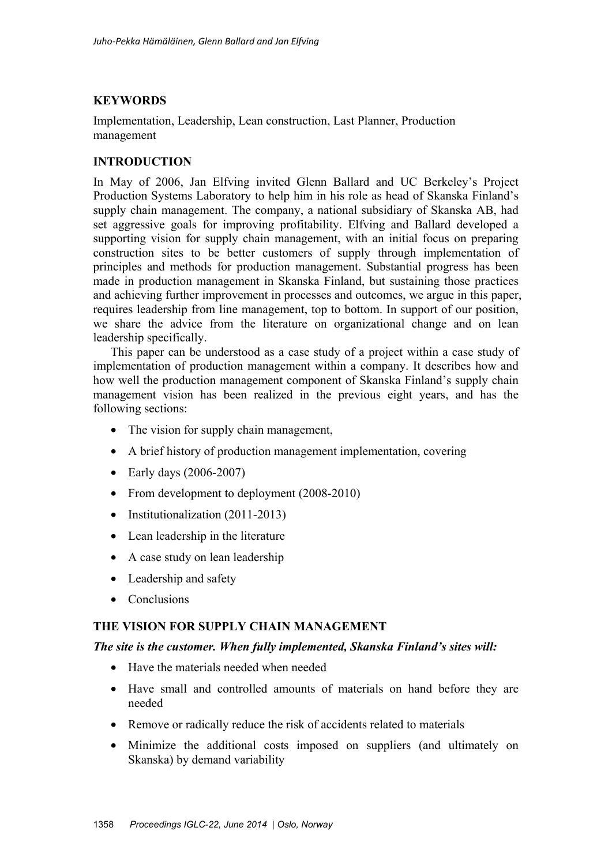# **KEYWORDS**

Implementation, Leadership, Lean construction, Last Planner, Production management

## **INTRODUCTION**

In May of 2006, Jan Elfving invited Glenn Ballard and UC Berkeley's Project Production Systems Laboratory to help him in his role as head of Skanska Finland's supply chain management. The company, a national subsidiary of Skanska AB, had set aggressive goals for improving profitability. Elfving and Ballard developed a supporting vision for supply chain management, with an initial focus on preparing construction sites to be better customers of supply through implementation of principles and methods for production management. Substantial progress has been made in production management in Skanska Finland, but sustaining those practices and achieving further improvement in processes and outcomes, we argue in this paper, requires leadership from line management, top to bottom. In support of our position, we share the advice from the literature on organizational change and on lean leadership specifically.

This paper can be understood as a case study of a project within a case study of implementation of production management within a company. It describes how and how well the production management component of Skanska Finland's supply chain management vision has been realized in the previous eight years, and has the following sections:

- The vision for supply chain management,
- A brief history of production management implementation, covering
- Early days (2006-2007)
- From development to deployment (2008-2010)
- Institutionalization (2011-2013)
- Lean leadership in the literature
- A case study on lean leadership
- Leadership and safety
- Conclusions

#### **THE VISION FOR SUPPLY CHAIN MANAGEMENT**

#### *The site is the customer. When fully implemented, Skanska Finland's sites will:*

- Have the materials needed when needed
- Have small and controlled amounts of materials on hand before they are needed
- Remove or radically reduce the risk of accidents related to materials
- Minimize the additional costs imposed on suppliers (and ultimately on Skanska) by demand variability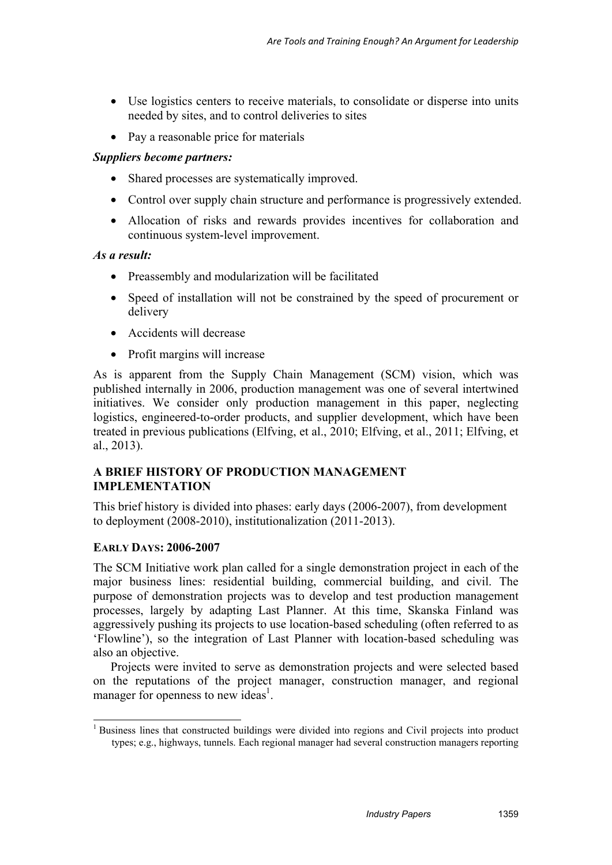- Use logistics centers to receive materials, to consolidate or disperse into units needed by sites, and to control deliveries to sites
- Pay a reasonable price for materials

## *Suppliers become partners:*

- Shared processes are systematically improved.
- Control over supply chain structure and performance is progressively extended.
- Allocation of risks and rewards provides incentives for collaboration and continuous system-level improvement.

## *As a result:*

- Preassembly and modularization will be facilitated
- Speed of installation will not be constrained by the speed of procurement or delivery
- Accidents will decrease
- Profit margins will increase

As is apparent from the Supply Chain Management (SCM) vision, which was published internally in 2006, production management was one of several intertwined initiatives. We consider only production management in this paper, neglecting logistics, engineered-to-order products, and supplier development, which have been treated in previous publications (Elfving, et al., 2010; Elfving, et al., 2011; Elfving, et al., 2013).

# **A BRIEF HISTORY OF PRODUCTION MANAGEMENT IMPLEMENTATION**

This brief history is divided into phases: early days (2006-2007), from development to deployment (2008-2010), institutionalization (2011-2013).

## **EARLY DAYS: 2006-2007**

-

The SCM Initiative work plan called for a single demonstration project in each of the major business lines: residential building, commercial building, and civil. The purpose of demonstration projects was to develop and test production management processes, largely by adapting Last Planner. At this time, Skanska Finland was aggressively pushing its projects to use location-based scheduling (often referred to as 'Flowline'), so the integration of Last Planner with location-based scheduling was also an objective.

Projects were invited to serve as demonstration projects and were selected based on the reputations of the project manager, construction manager, and regional manager for openness to new ideas<sup>1</sup>.

<sup>&</sup>lt;sup>1</sup> Business lines that constructed buildings were divided into regions and Civil projects into product types; e.g., highways, tunnels. Each regional manager had several construction managers reporting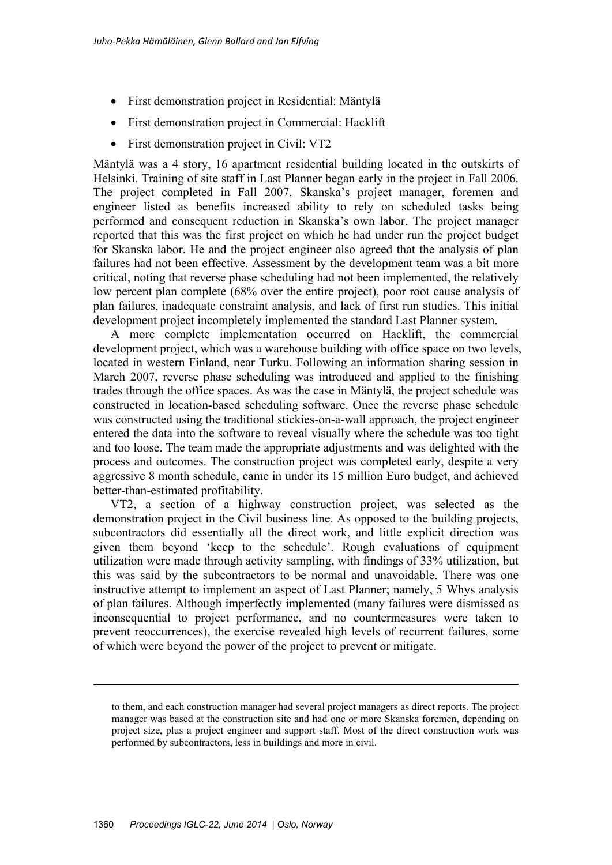- First demonstration project in Residential: Mäntylä
- First demonstration project in Commercial: Hacklift
- First demonstration project in Civil: VT2

Mäntylä was a 4 story, 16 apartment residential building located in the outskirts of Helsinki. Training of site staff in Last Planner began early in the project in Fall 2006. The project completed in Fall 2007. Skanska's project manager, foremen and engineer listed as benefits increased ability to rely on scheduled tasks being performed and consequent reduction in Skanska's own labor. The project manager reported that this was the first project on which he had under run the project budget for Skanska labor. He and the project engineer also agreed that the analysis of plan failures had not been effective. Assessment by the development team was a bit more critical, noting that reverse phase scheduling had not been implemented, the relatively low percent plan complete (68% over the entire project), poor root cause analysis of plan failures, inadequate constraint analysis, and lack of first run studies. This initial development project incompletely implemented the standard Last Planner system.

A more complete implementation occurred on Hacklift, the commercial development project, which was a warehouse building with office space on two levels, located in western Finland, near Turku. Following an information sharing session in March 2007, reverse phase scheduling was introduced and applied to the finishing trades through the office spaces. As was the case in Mäntylä, the project schedule was constructed in location-based scheduling software. Once the reverse phase schedule was constructed using the traditional stickies-on-a-wall approach, the project engineer entered the data into the software to reveal visually where the schedule was too tight and too loose. The team made the appropriate adjustments and was delighted with the process and outcomes. The construction project was completed early, despite a very aggressive 8 month schedule, came in under its 15 million Euro budget, and achieved better-than-estimated profitability.

VT2, a section of a highway construction project, was selected as the demonstration project in the Civil business line. As opposed to the building projects, subcontractors did essentially all the direct work, and little explicit direction was given them beyond 'keep to the schedule'. Rough evaluations of equipment utilization were made through activity sampling, with findings of 33% utilization, but this was said by the subcontractors to be normal and unavoidable. There was one instructive attempt to implement an aspect of Last Planner; namely, 5 Whys analysis of plan failures. Although imperfectly implemented (many failures were dismissed as inconsequential to project performance, and no countermeasures were taken to prevent reoccurrences), the exercise revealed high levels of recurrent failures, some of which were beyond the power of the project to prevent or mitigate.

-

to them, and each construction manager had several project managers as direct reports. The project manager was based at the construction site and had one or more Skanska foremen, depending on project size, plus a project engineer and support staff. Most of the direct construction work was performed by subcontractors, less in buildings and more in civil.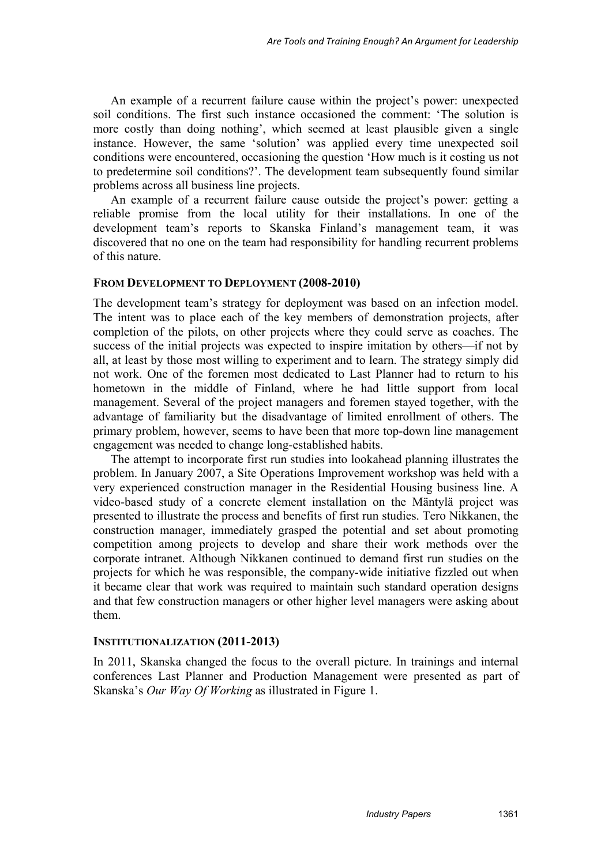An example of a recurrent failure cause within the project's power: unexpected soil conditions. The first such instance occasioned the comment: 'The solution is more costly than doing nothing', which seemed at least plausible given a single instance. However, the same 'solution' was applied every time unexpected soil conditions were encountered, occasioning the question 'How much is it costing us not to predetermine soil conditions?'. The development team subsequently found similar problems across all business line projects.

An example of a recurrent failure cause outside the project's power: getting a reliable promise from the local utility for their installations. In one of the development team's reports to Skanska Finland's management team, it was discovered that no one on the team had responsibility for handling recurrent problems of this nature.

#### **FROM DEVELOPMENT TO DEPLOYMENT (2008-2010)**

The development team's strategy for deployment was based on an infection model. The intent was to place each of the key members of demonstration projects, after completion of the pilots, on other projects where they could serve as coaches. The success of the initial projects was expected to inspire imitation by others—if not by all, at least by those most willing to experiment and to learn. The strategy simply did not work. One of the foremen most dedicated to Last Planner had to return to his hometown in the middle of Finland, where he had little support from local management. Several of the project managers and foremen stayed together, with the advantage of familiarity but the disadvantage of limited enrollment of others. The primary problem, however, seems to have been that more top-down line management engagement was needed to change long-established habits.

The attempt to incorporate first run studies into lookahead planning illustrates the problem. In January 2007, a Site Operations Improvement workshop was held with a very experienced construction manager in the Residential Housing business line. A video-based study of a concrete element installation on the Mäntylä project was presented to illustrate the process and benefits of first run studies. Tero Nikkanen, the construction manager, immediately grasped the potential and set about promoting competition among projects to develop and share their work methods over the corporate intranet. Although Nikkanen continued to demand first run studies on the projects for which he was responsible, the company-wide initiative fizzled out when it became clear that work was required to maintain such standard operation designs and that few construction managers or other higher level managers were asking about them.

#### **INSTITUTIONALIZATION (2011-2013)**

In 2011, Skanska changed the focus to the overall picture. In trainings and internal conferences Last Planner and Production Management were presented as part of Skanska's *Our Way Of Working* as illustrated in Figure 1.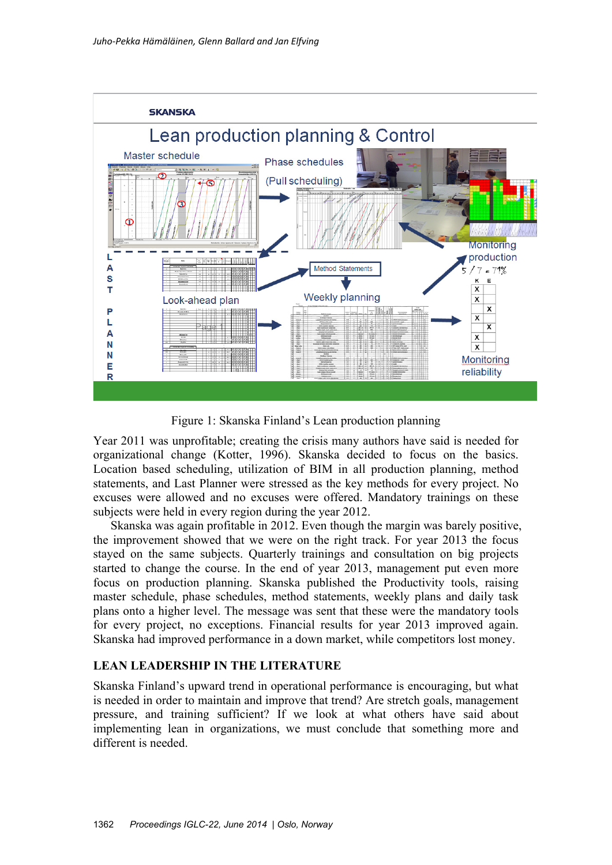

Figure 1: Skanska Finland's Lean production planning

Year 2011 was unprofitable; creating the crisis many authors have said is needed for organizational change (Kotter, 1996). Skanska decided to focus on the basics. Location based scheduling, utilization of BIM in all production planning, method statements, and Last Planner were stressed as the key methods for every project. No excuses were allowed and no excuses were offered. Mandatory trainings on these subjects were held in every region during the year 2012.

Skanska was again profitable in 2012. Even though the margin was barely positive, the improvement showed that we were on the right track. For year 2013 the focus stayed on the same subjects. Quarterly trainings and consultation on big projects started to change the course. In the end of year 2013, management put even more focus on production planning. Skanska published the Productivity tools, raising master schedule, phase schedules, method statements, weekly plans and daily task plans onto a higher level. The message was sent that these were the mandatory tools for every project, no exceptions. Financial results for year 2013 improved again. Skanska had improved performance in a down market, while competitors lost money.

## **LEAN LEADERSHIP IN THE LITERATURE**

Skanska Finland's upward trend in operational performance is encouraging, but what is needed in order to maintain and improve that trend? Are stretch goals, management pressure, and training sufficient? If we look at what others have said about implementing lean in organizations, we must conclude that something more and different is needed.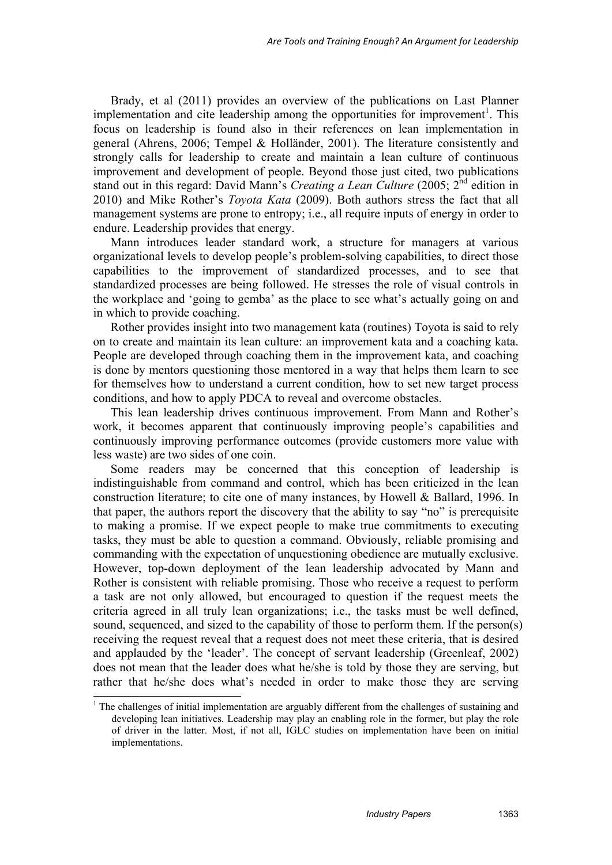Brady, et al (2011) provides an overview of the publications on Last Planner implementation and cite leadership among the opportunities for improvement<sup>1</sup>. This focus on leadership is found also in their references on lean implementation in general (Ahrens, 2006; Tempel & Holländer, 2001). The literature consistently and strongly calls for leadership to create and maintain a lean culture of continuous improvement and development of people. Beyond those just cited, two publications stand out in this regard: David Mann's *Creating a Lean Culture* (2005; 2nd edition in 2010) and Mike Rother's *Toyota Kata* (2009). Both authors stress the fact that all management systems are prone to entropy; i.e., all require inputs of energy in order to endure. Leadership provides that energy.

Mann introduces leader standard work, a structure for managers at various organizational levels to develop people's problem-solving capabilities, to direct those capabilities to the improvement of standardized processes, and to see that standardized processes are being followed. He stresses the role of visual controls in the workplace and 'going to gemba' as the place to see what's actually going on and in which to provide coaching.

Rother provides insight into two management kata (routines) Toyota is said to rely on to create and maintain its lean culture: an improvement kata and a coaching kata. People are developed through coaching them in the improvement kata, and coaching is done by mentors questioning those mentored in a way that helps them learn to see for themselves how to understand a current condition, how to set new target process conditions, and how to apply PDCA to reveal and overcome obstacles.

This lean leadership drives continuous improvement. From Mann and Rother's work, it becomes apparent that continuously improving people's capabilities and continuously improving performance outcomes (provide customers more value with less waste) are two sides of one coin.

Some readers may be concerned that this conception of leadership is indistinguishable from command and control, which has been criticized in the lean construction literature; to cite one of many instances, by Howell & Ballard, 1996. In that paper, the authors report the discovery that the ability to say "no" is prerequisite to making a promise. If we expect people to make true commitments to executing tasks, they must be able to question a command. Obviously, reliable promising and commanding with the expectation of unquestioning obedience are mutually exclusive. However, top-down deployment of the lean leadership advocated by Mann and Rother is consistent with reliable promising. Those who receive a request to perform a task are not only allowed, but encouraged to question if the request meets the criteria agreed in all truly lean organizations; i.e., the tasks must be well defined, sound, sequenced, and sized to the capability of those to perform them. If the person(s) receiving the request reveal that a request does not meet these criteria, that is desired and applauded by the 'leader'. The concept of servant leadership (Greenleaf, 2002) does not mean that the leader does what he/she is told by those they are serving, but rather that he/she does what's needed in order to make those they are serving

<sup>&</sup>lt;sup>1</sup> The challenges of initial implementation are arguably different from the challenges of sustaining and developing lean initiatives. Leadership may play an enabling role in the former, but play the role of driver in the latter. Most, if not all, IGLC studies on implementation have been on initial implementations.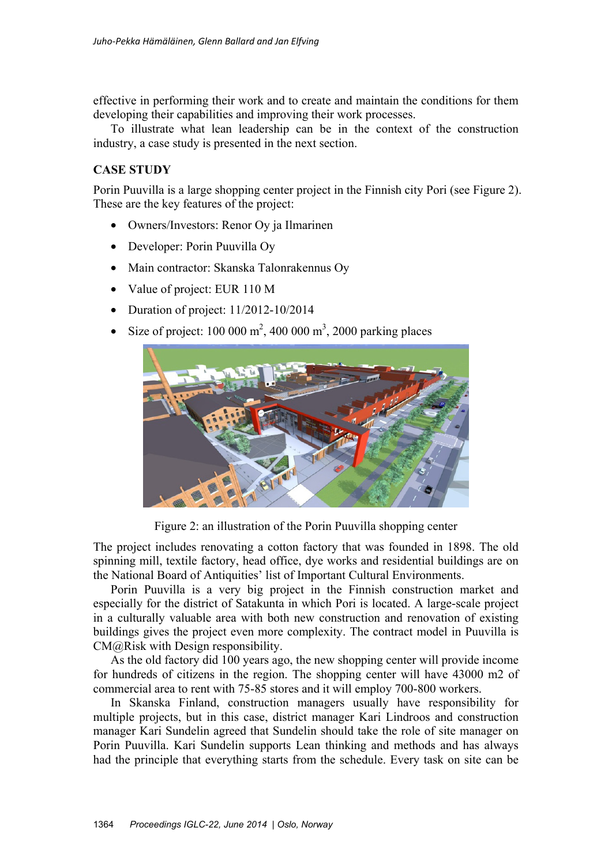effective in performing their work and to create and maintain the conditions for them developing their capabilities and improving their work processes.

To illustrate what lean leadership can be in the context of the construction industry, a case study is presented in the next section.

## **CASE STUDY**

Porin Puuvilla is a large shopping center project in the Finnish city Pori (see Figure 2). These are the key features of the project:

- Owners/Investors: Renor Oy ja Ilmarinen
- Developer: Porin Puuvilla Oy
- Main contractor: Skanska Talonrakennus Ov
- Value of project: EUR 110 M
- Duration of project:  $11/2012 10/2014$
- Size of project:  $100\,000\,\text{m}^2$ ,  $400\,000\,\text{m}^3$ ,  $2000\,\text{parking places}$



Figure 2: an illustration of the Porin Puuvilla shopping center

The project includes renovating a cotton factory that was founded in 1898. The old spinning mill, textile factory, head office, dye works and residential buildings are on the National Board of Antiquities' list of Important Cultural Environments.

Porin Puuvilla is a very big project in the Finnish construction market and especially for the district of Satakunta in which Pori is located. A large-scale project in a culturally valuable area with both new construction and renovation of existing buildings gives the project even more complexity. The contract model in Puuvilla is CM@Risk with Design responsibility.

As the old factory did 100 years ago, the new shopping center will provide income for hundreds of citizens in the region. The shopping center will have 43000 m2 of commercial area to rent with 75-85 stores and it will employ 700-800 workers.

In Skanska Finland, construction managers usually have responsibility for multiple projects, but in this case, district manager Kari Lindroos and construction manager Kari Sundelin agreed that Sundelin should take the role of site manager on Porin Puuvilla. Kari Sundelin supports Lean thinking and methods and has always had the principle that everything starts from the schedule. Every task on site can be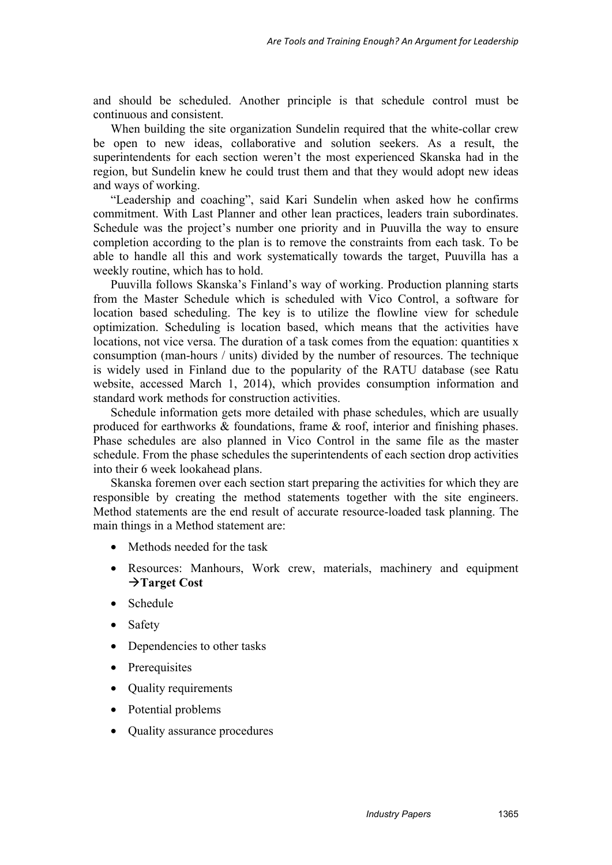and should be scheduled. Another principle is that schedule control must be continuous and consistent.

When building the site organization Sundelin required that the white-collar crew be open to new ideas, collaborative and solution seekers. As a result, the superintendents for each section weren't the most experienced Skanska had in the region, but Sundelin knew he could trust them and that they would adopt new ideas and ways of working.

"Leadership and coaching", said Kari Sundelin when asked how he confirms commitment. With Last Planner and other lean practices, leaders train subordinates. Schedule was the project's number one priority and in Puuvilla the way to ensure completion according to the plan is to remove the constraints from each task. To be able to handle all this and work systematically towards the target, Puuvilla has a weekly routine, which has to hold.

Puuvilla follows Skanska's Finland's way of working. Production planning starts from the Master Schedule which is scheduled with Vico Control, a software for location based scheduling. The key is to utilize the flowline view for schedule optimization. Scheduling is location based, which means that the activities have locations, not vice versa. The duration of a task comes from the equation: quantities x consumption (man-hours / units) divided by the number of resources. The technique is widely used in Finland due to the popularity of the RATU database (see Ratu website, accessed March 1, 2014), which provides consumption information and standard work methods for construction activities.

Schedule information gets more detailed with phase schedules, which are usually produced for earthworks & foundations, frame & roof, interior and finishing phases. Phase schedules are also planned in Vico Control in the same file as the master schedule. From the phase schedules the superintendents of each section drop activities into their 6 week lookahead plans.

Skanska foremen over each section start preparing the activities for which they are responsible by creating the method statements together with the site engineers. Method statements are the end result of accurate resource-loaded task planning. The main things in a Method statement are:

- Methods needed for the task
- Resources: Manhours, Work crew, materials, machinery and equipment  $→$ **Target Cost**
- Schedule
- **Safety**
- Dependencies to other tasks
- Prerequisites
- Quality requirements
- Potential problems
- Quality assurance procedures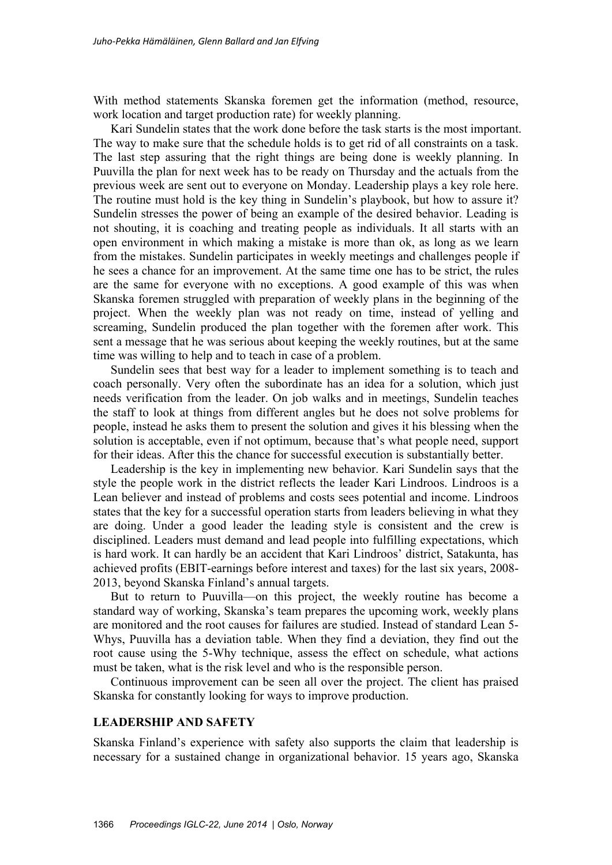With method statements Skanska foremen get the information (method, resource, work location and target production rate) for weekly planning.

Kari Sundelin states that the work done before the task starts is the most important. The way to make sure that the schedule holds is to get rid of all constraints on a task. The last step assuring that the right things are being done is weekly planning. In Puuvilla the plan for next week has to be ready on Thursday and the actuals from the previous week are sent out to everyone on Monday. Leadership plays a key role here. The routine must hold is the key thing in Sundelin's playbook, but how to assure it? Sundelin stresses the power of being an example of the desired behavior. Leading is not shouting, it is coaching and treating people as individuals. It all starts with an open environment in which making a mistake is more than ok, as long as we learn from the mistakes. Sundelin participates in weekly meetings and challenges people if he sees a chance for an improvement. At the same time one has to be strict, the rules are the same for everyone with no exceptions. A good example of this was when Skanska foremen struggled with preparation of weekly plans in the beginning of the project. When the weekly plan was not ready on time, instead of yelling and screaming, Sundelin produced the plan together with the foremen after work. This sent a message that he was serious about keeping the weekly routines, but at the same time was willing to help and to teach in case of a problem.

Sundelin sees that best way for a leader to implement something is to teach and coach personally. Very often the subordinate has an idea for a solution, which just needs verification from the leader. On job walks and in meetings, Sundelin teaches the staff to look at things from different angles but he does not solve problems for people, instead he asks them to present the solution and gives it his blessing when the solution is acceptable, even if not optimum, because that's what people need, support for their ideas. After this the chance for successful execution is substantially better.

Leadership is the key in implementing new behavior. Kari Sundelin says that the style the people work in the district reflects the leader Kari Lindroos. Lindroos is a Lean believer and instead of problems and costs sees potential and income. Lindroos states that the key for a successful operation starts from leaders believing in what they are doing. Under a good leader the leading style is consistent and the crew is disciplined. Leaders must demand and lead people into fulfilling expectations, which is hard work. It can hardly be an accident that Kari Lindroos' district, Satakunta, has achieved profits (EBIT-earnings before interest and taxes) for the last six years, 2008- 2013, beyond Skanska Finland's annual targets.

But to return to Puuvilla—on this project, the weekly routine has become a standard way of working, Skanska's team prepares the upcoming work, weekly plans are monitored and the root causes for failures are studied. Instead of standard Lean 5- Whys, Puuvilla has a deviation table. When they find a deviation, they find out the root cause using the 5-Why technique, assess the effect on schedule, what actions must be taken, what is the risk level and who is the responsible person.

Continuous improvement can be seen all over the project. The client has praised Skanska for constantly looking for ways to improve production.

#### **LEADERSHIP AND SAFETY**

Skanska Finland's experience with safety also supports the claim that leadership is necessary for a sustained change in organizational behavior. 15 years ago, Skanska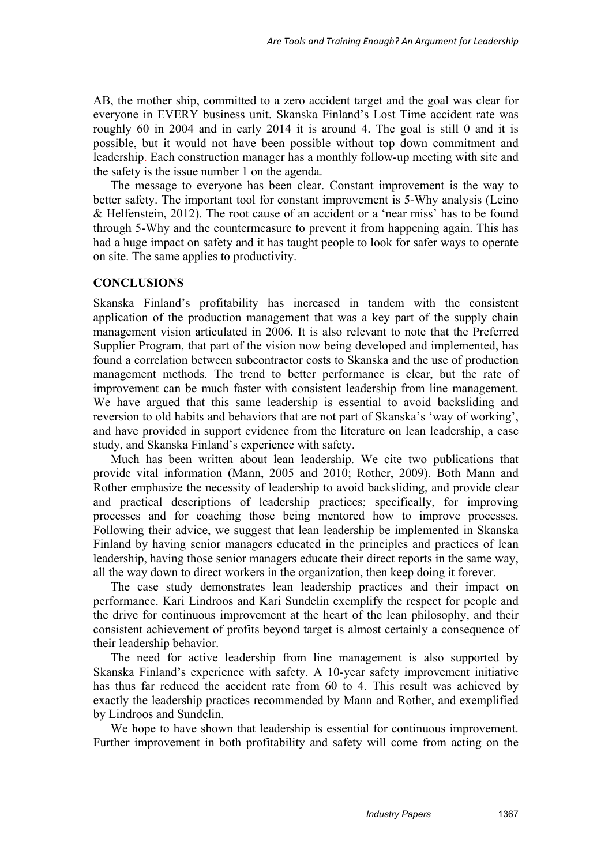AB, the mother ship, committed to a zero accident target and the goal was clear for everyone in EVERY business unit. Skanska Finland's Lost Time accident rate was roughly 60 in 2004 and in early 2014 it is around 4. The goal is still 0 and it is possible, but it would not have been possible without top down commitment and leadership. Each construction manager has a monthly follow-up meeting with site and the safety is the issue number 1 on the agenda.

The message to everyone has been clear. Constant improvement is the way to better safety. The important tool for constant improvement is 5-Why analysis (Leino & Helfenstein, 2012). The root cause of an accident or a 'near miss' has to be found through 5-Why and the countermeasure to prevent it from happening again. This has had a huge impact on safety and it has taught people to look for safer ways to operate on site. The same applies to productivity.

## **CONCLUSIONS**

Skanska Finland's profitability has increased in tandem with the consistent application of the production management that was a key part of the supply chain management vision articulated in 2006. It is also relevant to note that the Preferred Supplier Program, that part of the vision now being developed and implemented, has found a correlation between subcontractor costs to Skanska and the use of production management methods. The trend to better performance is clear, but the rate of improvement can be much faster with consistent leadership from line management. We have argued that this same leadership is essential to avoid backsliding and reversion to old habits and behaviors that are not part of Skanska's 'way of working', and have provided in support evidence from the literature on lean leadership, a case study, and Skanska Finland's experience with safety.

Much has been written about lean leadership. We cite two publications that provide vital information (Mann, 2005 and 2010; Rother, 2009). Both Mann and Rother emphasize the necessity of leadership to avoid backsliding, and provide clear and practical descriptions of leadership practices; specifically, for improving processes and for coaching those being mentored how to improve processes. Following their advice, we suggest that lean leadership be implemented in Skanska Finland by having senior managers educated in the principles and practices of lean leadership, having those senior managers educate their direct reports in the same way, all the way down to direct workers in the organization, then keep doing it forever.

The case study demonstrates lean leadership practices and their impact on performance. Kari Lindroos and Kari Sundelin exemplify the respect for people and the drive for continuous improvement at the heart of the lean philosophy, and their consistent achievement of profits beyond target is almost certainly a consequence of their leadership behavior.

The need for active leadership from line management is also supported by Skanska Finland's experience with safety. A 10-year safety improvement initiative has thus far reduced the accident rate from 60 to 4. This result was achieved by exactly the leadership practices recommended by Mann and Rother, and exemplified by Lindroos and Sundelin.

We hope to have shown that leadership is essential for continuous improvement. Further improvement in both profitability and safety will come from acting on the